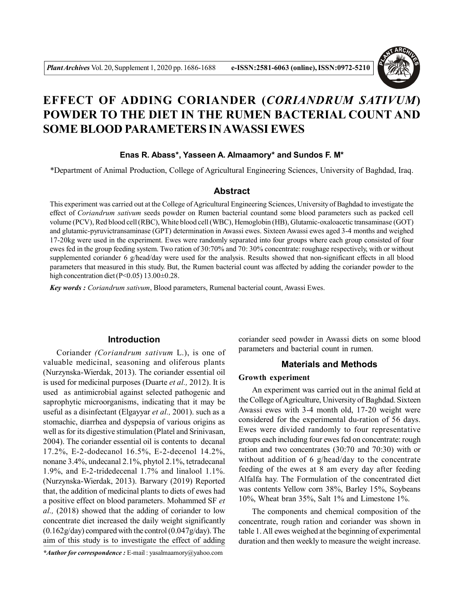

# **EFFECT OF ADDING CORIANDER (***CORIANDRUM SATIVUM***) POWDER TO THE DIET IN THE RUMEN BACTERIAL COUNT AND SOME BLOOD PARAMETERS IN AWASSI EWES**

## **Enas R. Abass\*, Yasseen A. Almaamory\* and Sundos F. M\***

\*Department of Animal Production, College of Agricultural Engineering Sciences, University of Baghdad, Iraq.

## **Abstract**

This experiment was carried out at the College of Agricultural Engineering Sciences, University of Baghdad to investigate the effect of *Coriandrum sativum* seeds powder on Rumen bacterial countand some blood parameters such as packed cell volume (PCV), Red blood cell (RBC), White blood cell (WBC), Hemoglobin (HB), Glutamic-oxaloacetic transaminase (GOT) and glutamic-pyruvictransaminase (GPT) determination in Awassi ewes. Sixteen Awassi ewes aged 3-4 months and weighed 17-20kg were used in the experiment. Ewes were randomly separated into four groups where each group consisted of four ewes fed in the group feeding system. Two ration of 30:70% and 70: 30% concentrate: roughage respectively, with or without supplemented coriander 6 g/head/day were used for the analysis. Results showed that non-significant effects in all blood parameters that measured in this study. But, the Rumen bacterial count was affected by adding the coriander powder to the high concentration diet (P<0.05) 13.00 $\pm$ 0.28.

*Key words : Coriandrum sativum*, Blood parameters, Rumenal bacterial count, Awassi Ewes.

## **Introduction**

Coriander *(Coriandrum sativum* L.), is one of valuable medicinal, seasoning and oliferous plants (Nurzynska-Wierdak, 2013). The coriander essential oil is used for medicinal purposes (Duarte *et al.,* 2012). It is used as antimicrobial against selected pathogenic and saprophytic microorganisms, indicating that it may be useful as a disinfectant (Elgayyar *et al.,* 2001). such as a stomachic, diarrhea and dyspepsia of various origins as well as for its digestive stimulation (Platel and Srinivasan, 2004). The coriander essential oil is contents to decanal 17.2%, E-2-dodecanol 16.5%, E-2-decenol 14.2%, nonane 3.4%, undecanal 2.1%, phytol 2.1%, tetradecanal 1.9%, and E-2-tridedecenal 1.7% and linalool 1.1%. (Nurzynska-Wierdak, 2013). Barwary (2019) Reported that, the addition of medicinal plants to diets of ewes had a positive effect on blood parameters. Mohammed SF *et al.,* (2018) showed that the adding of coriander to low concentrate diet increased the daily weight significantly  $(0.162g/day)$  compared with the control  $(0.047g/day)$ . The aim of this study is to investigate the effect of adding

*\*Author for correspondence :* E-mail : yasalmaamory@yahoo.com

coriander seed powder in Awassi diets on some blood parameters and bacterial count in rumen.

### **Materials and Methods**

#### **Growth experiment**

An experiment was carried out in the animal field at the College of Agriculture, University of Baghdad. Sixteen Awassi ewes with 3-4 month old, 17-20 weight were considered for the experimental du-ration of 56 days. Ewes were divided randomly to four representative groups each including four ewes fed on concentrate: rough ration and two concentrates (30:70 and 70:30) with or without addition of 6 g/head/day to the concentrate feeding of the ewes at 8 am every day after feeding Alfalfa hay. The Formulation of the concentrated diet was contents Yellow corn 38%, Barley 15%, Soybeans 10%, Wheat bran 35%, Salt 1% and Limestone 1%.

The components and chemical composition of the concentrate, rough ration and coriander was shown in table 1. All ewes weighed at the beginning of experimental duration and then weekly to measure the weight increase.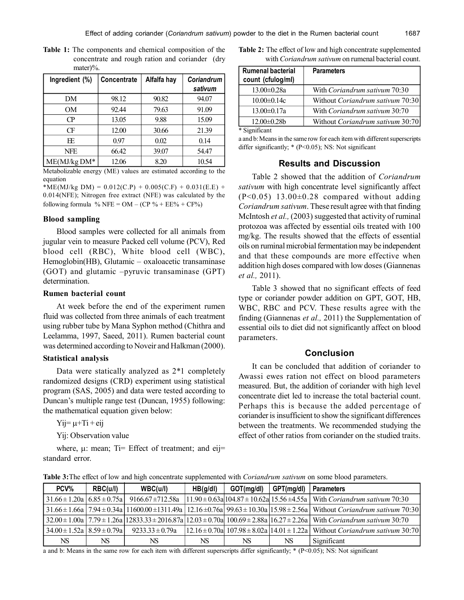**Table 1:** The components and chemical composition of the concentrate and rough ration and coriander (dry mater)%.

| Ingredient (%) | <b>Concentrate</b> | Alfalfa hay | <b>Coriandrum</b> |
|----------------|--------------------|-------------|-------------------|
|                |                    |             | sativum           |
| DM             | 98.12              | 90.82       | 94.07             |
| <b>OM</b>      | 92.44              | 79.63       | 91.09             |
| $\Gamma$       | 13.05              | 9.88        | 15.09             |
| Œ              | 12.00              | 30.66       | 21.39             |
| EΕ             | 0.97               | 0.02        | 0.14              |
| <b>NFE</b>     | 66.42              | 39.07       | 54.47             |
| $ME(MJ/kg DM*$ | 12.06              | 8.20        | 10.54             |

Metabolizable energy (ME) values are estimated according to the equation

\*ME(MJ/kg DM) =  $0.012$ (C.P) +  $0.005$ (C.F) +  $0.031$ (E.E) + 0.014(NFE); Nitrogen free extract (NFE) was calculated by the following formula % NFE =  $OM - (CP \% + EE\% + CF\%)$ 

#### **Blood sampling**

Blood samples were collected for all animals from jugular vein to measure Packed cell volume (PCV), Red blood cell (RBC), White blood cell (WBC), Hemoglobin(HB), Glutamic – oxaloacetic transaminase (GOT) and glutamic –pyruvic transaminase (GPT) determination.

#### **Rumen bacterial count**

At week before the end of the experiment rumen fluid was collected from three animals of each treatment using rubber tube by Mana Syphon method (Chithra and Leelamma, 1997, Saeed, 2011). Rumen bacterial count was determined according to Noveir and Halkman (2000).

#### **Statistical analysis**

Data were statically analyzed as 2\*1 completely randomized designs (CRD) experiment using statistical program (SAS, 2005) and data were tested according to Duncan's multiple range test (Duncan, 1955) following: the mathematical equation given below:

 $Y_i = \mu + Ti + eii$ 

Yij: Observation value

where,  $\mu$ : mean; Ti= Effect of treatment; and eij= standard error.

**Table 2:** The effect of low and high concentrate supplemented with *Coriandrum sativum* on rumenal bacterial count.

| <b>Rumenal bacterial</b><br>count (cfulog/ml) | <b>Parameters</b>                    |
|-----------------------------------------------|--------------------------------------|
| $13.00 \pm 0.28a$                             | With Coriandrum sativum 70:30        |
| $10.00 \pm 0.14c$                             | Without Coriandrum sativum 70:30     |
| $13.00 \pm 0.17a$                             | With <i>Coriandrum sativum</i> 30:70 |
| $12.00 \pm 0.28$ b                            | Without Coriandrum sativum 30:70     |

\* Significant

a and b: Means in the same row for each item with different superscripts differ significantly; \* (P<0.05); NS: Not significant

## **Results and Discussion**

Table 2 showed that the addition of *Coriandrum sativum* with high concentrate level significantly affect  $(P<0.05)$  13.00 $\pm$ 0.28 compared without adding *Coriandrum sativum*. These result agree with that finding McIntosh *et al.,* (2003) suggested that activity of ruminal protozoa was affected by essential oils treated with 100 mg/kg. The results showed that the effects of essential oils on ruminal microbial fermentation may be independent and that these compounds are more effective when addition high doses compared with low doses (Giannenas *et al.,* 2011).

Table 3 showed that no significant effects of feed type or coriander powder addition on GPT, GOT, HB, WBC, RBC and PCV. These results agree with the finding (Giannenas *et al.,* 2011) the Supplementation of essential oils to diet did not significantly affect on blood parameters.

## **Conclusion**

It can be concluded that addition of coriander to Awassi ewes ration not effect on blood parameters measured. But, the addition of coriander with high level concentrate diet led to increase the total bacterial count. Perhaps this is because the added percentage of coriander is insufficient to show the significant differences between the treatments. We recommended studying the effect of other ratios from coriander on the studied traits.

| Table 3: The effect of low and high concentrate supplemented with <i>Coriandrum sativum</i> on some blood parameters. |  |  |
|-----------------------------------------------------------------------------------------------------------------------|--|--|
|-----------------------------------------------------------------------------------------------------------------------|--|--|

| PCV%                                       | RBC(u/l) | WBC(u/l)              | HB(g/dI) | GOT(mg/dl) | GPT(mg/dl) | <b>Parameters</b>                                                                                                                                                                                  |
|--------------------------------------------|----------|-----------------------|----------|------------|------------|----------------------------------------------------------------------------------------------------------------------------------------------------------------------------------------------------|
| $31.66 \pm 1.20a \mid 6.85 \pm 0.75a \mid$ |          | $9166.67 \pm 712.58a$ |          |            |            | $11.90 \pm 0.63$ a $104.87 \pm 10.62$ a $15.56 \pm 4.55$ a With Coriandrum sativum 70:30                                                                                                           |
|                                            |          |                       |          |            |            | $\left[31.66 \pm 1.66a\right]$ 7.94 $\pm$ 0.34a $\left[11600.00 \pm 1311.49a\right]$ 12.16 $\pm$ 0.76a $\left[99.63 \pm 10.30a\right]$ 15.98 $\pm$ 2.56a $\left[$ Without Coriandrum sativum 70:30 |
|                                            |          |                       |          |            |            | $32.00 \pm 1.00$ a $7.79 \pm 1.26$ a $12833.33 \pm 2016.87$ a $12.03 \pm 0.70$ a $100.69 \pm 2.88$ a $16.27 \pm 2.26$ a With Coriandrum sativum 30:70                                              |
| $34.00 \pm 1.52a \times 8.59 \pm 0.79a$    |          | $9233.33 \pm 0.79a$   |          |            |            | $ 12.16\pm0.70a $ 107.98 $\pm$ 8.02a $ 14.01\pm1.22a $ Without Coriandrum sativum 30:70                                                                                                            |
| NS                                         | NS       | NS                    | NS       | NS         | NS         | Significant                                                                                                                                                                                        |

a and b: Means in the same row for each item with different superscripts differ significantly; \* (P<0.05); NS: Not significant